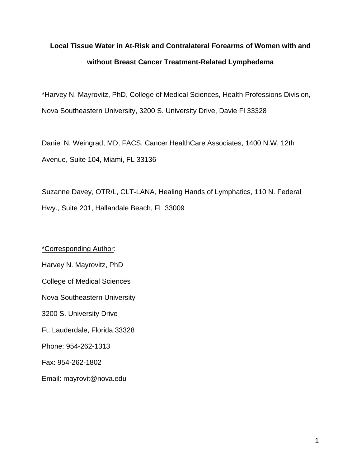# **Local Tissue Water in At-Risk and Contralateral Forearms of Women with and without Breast Cancer Treatment-Related Lymphedema**

\*Harvey N. Mayrovitz, PhD, College of Medical Sciences, Health Professions Division, Nova Southeastern University, 3200 S. University Drive, Davie Fl 33328

Daniel N. Weingrad, MD, FACS, Cancer HealthCare Associates, 1400 N.W. 12th Avenue, Suite 104, Miami, FL 33136

Suzanne Davey, OTR/L, CLT-LANA, Healing Hands of Lymphatics, 110 N. Federal Hwy., Suite 201, Hallandale Beach, FL 33009

\*Corresponding Author: Harvey N. Mayrovitz, PhD College of Medical Sciences Nova Southeastern University 3200 S. University Drive Ft. Lauderdale, Florida 33328 Phone: 954-262-1313 Fax: 954-262-1802 Email: mayrovit@nova.edu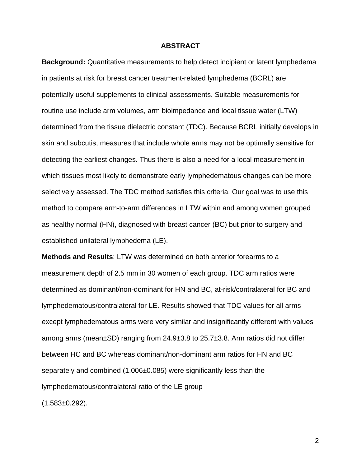# **ABSTRACT**

**Background:** Quantitative measurements to help detect incipient or latent lymphedema in patients at risk for breast cancer treatment-related lymphedema (BCRL) are potentially useful supplements to clinical assessments. Suitable measurements for routine use include arm volumes, arm bioimpedance and local tissue water (LTW) determined from the tissue dielectric constant (TDC). Because BCRL initially develops in skin and subcutis, measures that include whole arms may not be optimally sensitive for detecting the earliest changes. Thus there is also a need for a local measurement in which tissues most likely to demonstrate early lymphedematous changes can be more selectively assessed. The TDC method satisfies this criteria. Our goal was to use this method to compare arm-to-arm differences in LTW within and among women grouped as healthy normal (HN), diagnosed with breast cancer (BC) but prior to surgery and established unilateral lymphedema (LE).

**Methods and Results**: LTW was determined on both anterior forearms to a measurement depth of 2.5 mm in 30 women of each group. TDC arm ratios were determined as dominant/non-dominant for HN and BC, at-risk/contralateral for BC and lymphedematous/contralateral for LE. Results showed that TDC values for all arms except lymphedematous arms were very similar and insignificantly different with values among arms (mean±SD) ranging from 24.9±3.8 to 25.7±3.8. Arm ratios did not differ between HC and BC whereas dominant/non-dominant arm ratios for HN and BC separately and combined (1.006±0.085) were significantly less than the lymphedematous/contralateral ratio of the LE group (1.583±0.292).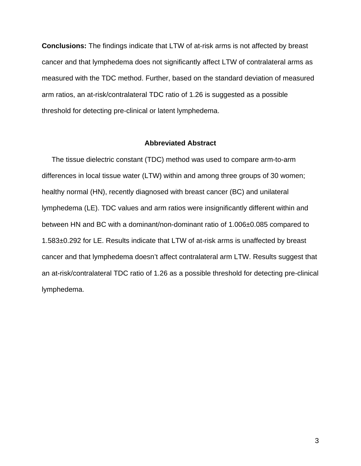**Conclusions:** The findings indicate that LTW of at-risk arms is not affected by breast cancer and that lymphedema does not significantly affect LTW of contralateral arms as measured with the TDC method. Further, based on the standard deviation of measured arm ratios, an at-risk/contralateral TDC ratio of 1.26 is suggested as a possible threshold for detecting pre-clinical or latent lymphedema.

# **Abbreviated Abstract**

 The tissue dielectric constant (TDC) method was used to compare arm-to-arm differences in local tissue water (LTW) within and among three groups of 30 women; healthy normal (HN), recently diagnosed with breast cancer (BC) and unilateral lymphedema (LE). TDC values and arm ratios were insignificantly different within and between HN and BC with a dominant/non-dominant ratio of 1.006±0.085 compared to 1.583±0.292 for LE. Results indicate that LTW of at-risk arms is unaffected by breast cancer and that lymphedema doesn't affect contralateral arm LTW. Results suggest that an at-risk/contralateral TDC ratio of 1.26 as a possible threshold for detecting pre-clinical lymphedema.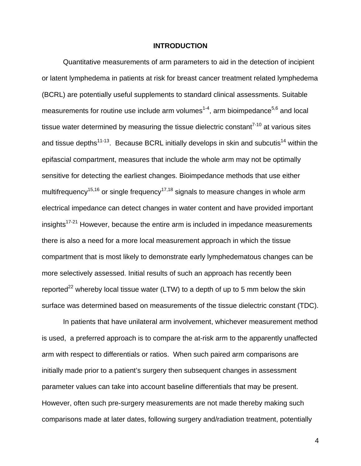### **INTRODUCTION**

Quantitative measurements of arm parameters to aid in the detection of incipient or latent lymphedema in patients at risk for breast cancer treatment related lymphedema (BCRL) are potentially useful supplements to standard clinical assessments. Suitable measurements for routine use include arm volumes<sup>1-4</sup>, arm bioimpedance<sup>5,6</sup> and local tissue water determined by measuring the tissue dielectric constant<sup> $7-10$ </sup> at various sites and tissue depths<sup>11-13</sup>. Because BCRL initially develops in skin and subcutis<sup>14</sup> within the epifascial compartment, measures that include the whole arm may not be optimally sensitive for detecting the earliest changes. Bioimpedance methods that use either multifrequency<sup>15,16</sup> or single frequency<sup>17,18</sup> signals to measure changes in whole arm electrical impedance can detect changes in water content and have provided important insights<sup>17-21</sup> However, because the entire arm is included in impedance measurements there is also a need for a more local measurement approach in which the tissue compartment that is most likely to demonstrate early lymphedematous changes can be more selectively assessed. Initial results of such an approach has recently been reported<sup>22</sup> whereby local tissue water (LTW) to a depth of up to 5 mm below the skin surface was determined based on measurements of the tissue dielectric constant (TDC).

In patients that have unilateral arm involvement, whichever measurement method is used, a preferred approach is to compare the at-risk arm to the apparently unaffected arm with respect to differentials or ratios. When such paired arm comparisons are initially made prior to a patient's surgery then subsequent changes in assessment parameter values can take into account baseline differentials that may be present. However, often such pre-surgery measurements are not made thereby making such comparisons made at later dates, following surgery and/radiation treatment, potentially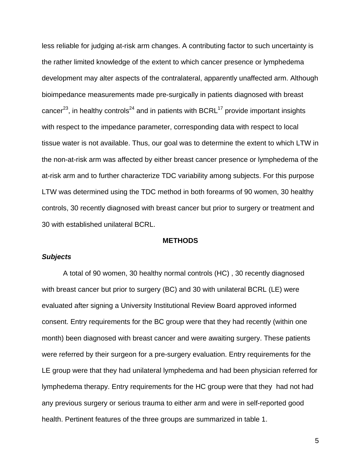less reliable for judging at-risk arm changes. A contributing factor to such uncertainty is the rather limited knowledge of the extent to which cancer presence or lymphedema development may alter aspects of the contralateral, apparently unaffected arm. Although bioimpedance measurements made pre-surgically in patients diagnosed with breast cancer<sup>23</sup>, in healthy controls<sup>24</sup> and in patients with BCRL<sup>17</sup> provide important insights with respect to the impedance parameter, corresponding data with respect to local tissue water is not available. Thus, our goal was to determine the extent to which LTW in the non-at-risk arm was affected by either breast cancer presence or lymphedema of the at-risk arm and to further characterize TDC variability among subjects. For this purpose LTW was determined using the TDC method in both forearms of 90 women, 30 healthy controls, 30 recently diagnosed with breast cancer but prior to surgery or treatment and 30 with established unilateral BCRL.

## **METHODS**

# *Subjects*

 A total of 90 women, 30 healthy normal controls (HC) , 30 recently diagnosed with breast cancer but prior to surgery (BC) and 30 with unilateral BCRL (LE) were evaluated after signing a University Institutional Review Board approved informed consent. Entry requirements for the BC group were that they had recently (within one month) been diagnosed with breast cancer and were awaiting surgery. These patients were referred by their surgeon for a pre-surgery evaluation. Entry requirements for the LE group were that they had unilateral lymphedema and had been physician referred for lymphedema therapy. Entry requirements for the HC group were that they had not had any previous surgery or serious trauma to either arm and were in self-reported good health. Pertinent features of the three groups are summarized in table 1.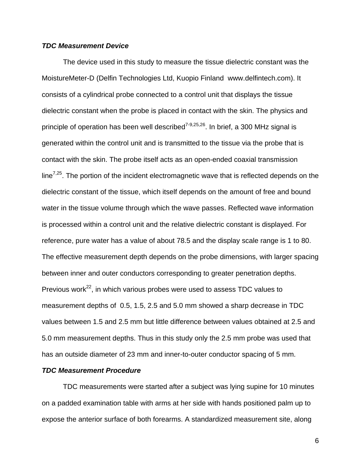# *TDC Measurement Device*

The device used in this study to measure the tissue dielectric constant was the MoistureMeter-D (Delfin Technologies Ltd, Kuopio Finland www.delfintech.com). It consists of a cylindrical probe connected to a control unit that displays the tissue dielectric constant when the probe is placed in contact with the skin. The physics and principle of operation has been well described<sup>7-9,25,26</sup>. In brief, a 300 MHz signal is generated within the control unit and is transmitted to the tissue via the probe that is contact with the skin. The probe itself acts as an open-ended coaxial transmission  $line<sup>7,25</sup>$ . The portion of the incident electromagnetic wave that is reflected depends on the dielectric constant of the tissue, which itself depends on the amount of free and bound water in the tissue volume through which the wave passes. Reflected wave information is processed within a control unit and the relative dielectric constant is displayed. For reference, pure water has a value of about 78.5 and the display scale range is 1 to 80. The effective measurement depth depends on the probe dimensions, with larger spacing between inner and outer conductors corresponding to greater penetration depths. Previous work $^{22}$ , in which various probes were used to assess TDC values to measurement depths of 0.5, 1.5, 2.5 and 5.0 mm showed a sharp decrease in TDC values between 1.5 and 2.5 mm but little difference between values obtained at 2.5 and 5.0 mm measurement depths. Thus in this study only the 2.5 mm probe was used that has an outside diameter of 23 mm and inner-to-outer conductor spacing of 5 mm.

# *TDC Measurement Procedure*

 TDC measurements were started after a subject was lying supine for 10 minutes on a padded examination table with arms at her side with hands positioned palm up to expose the anterior surface of both forearms. A standardized measurement site, along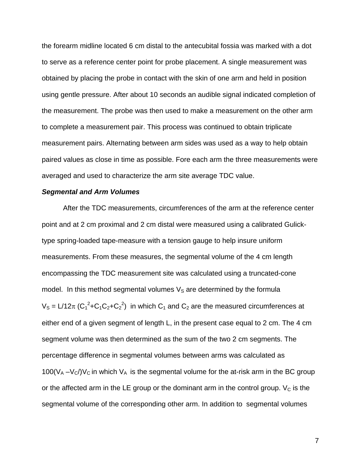the forearm midline located 6 cm distal to the antecubital fossia was marked with a dot to serve as a reference center point for probe placement. A single measurement was obtained by placing the probe in contact with the skin of one arm and held in position using gentle pressure. After about 10 seconds an audible signal indicated completion of the measurement. The probe was then used to make a measurement on the other arm to complete a measurement pair. This process was continued to obtain triplicate measurement pairs. Alternating between arm sides was used as a way to help obtain paired values as close in time as possible. Fore each arm the three measurements were averaged and used to characterize the arm site average TDC value.

# *Segmental and Arm Volumes*

After the TDC measurements, circumferences of the arm at the reference center point and at 2 cm proximal and 2 cm distal were measured using a calibrated Gulicktype spring-loaded tape-measure with a tension gauge to help insure uniform measurements. From these measures, the segmental volume of the 4 cm length encompassing the TDC measurement site was calculated using a truncated-cone model. In this method segmental volumes  $V<sub>S</sub>$  are determined by the formula  $V_S = L/12\pi (C_1^2 + C_1C_2 + C_2^2)$  in which  $C_1$  and  $C_2$  are the measured circumferences at either end of a given segment of length L, in the present case equal to 2 cm. The 4 cm segment volume was then determined as the sum of the two 2 cm segments. The percentage difference in segmental volumes between arms was calculated as 100( $V_A - V_C/V_C$  in which  $V_A$  is the segmental volume for the at-risk arm in the BC group or the affected arm in the LE group or the dominant arm in the control group.  $V_c$  is the segmental volume of the corresponding other arm. In addition to segmental volumes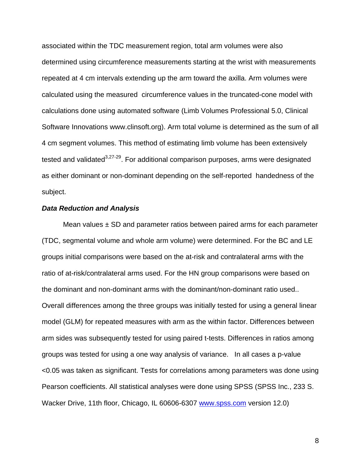associated within the TDC measurement region, total arm volumes were also determined using circumference measurements starting at the wrist with measurements repeated at 4 cm intervals extending up the arm toward the axilla. Arm volumes were calculated using the measured circumference values in the truncated-cone model with calculations done using automated software (Limb Volumes Professional 5.0, Clinical Software Innovations www.clinsoft.org). Arm total volume is determined as the sum of all 4 cm segment volumes. This method of estimating limb volume has been extensively tested and validated $3,27-29$ . For additional comparison purposes, arms were designated as either dominant or non-dominant depending on the self-reported handedness of the subject.

#### *Data Reduction and Analysis*

Mean values  $\pm$  SD and parameter ratios between paired arms for each parameter (TDC, segmental volume and whole arm volume) were determined. For the BC and LE groups initial comparisons were based on the at-risk and contralateral arms with the ratio of at-risk/contralateral arms used. For the HN group comparisons were based on the dominant and non-dominant arms with the dominant/non-dominant ratio used.. Overall differences among the three groups was initially tested for using a general linear model (GLM) for repeated measures with arm as the within factor. Differences between arm sides was subsequently tested for using paired t-tests. Differences in ratios among groups was tested for using a one way analysis of variance. In all cases a p-value <0.05 was taken as significant. Tests for correlations among parameters was done using Pearson coefficients. All statistical analyses were done using SPSS (SPSS Inc., 233 S. Wacker Drive, 11th floor, Chicago, IL 60606-6307 www.spss.com version 12.0)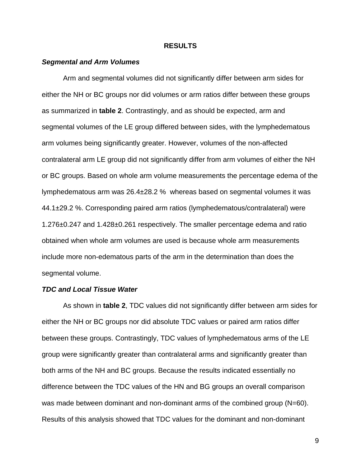# **RESULTS**

#### *Segmental and Arm Volumes*

Arm and segmental volumes did not significantly differ between arm sides for either the NH or BC groups nor did volumes or arm ratios differ between these groups as summarized in **table 2**. Contrastingly, and as should be expected, arm and segmental volumes of the LE group differed between sides, with the lymphedematous arm volumes being significantly greater. However, volumes of the non-affected contralateral arm LE group did not significantly differ from arm volumes of either the NH or BC groups. Based on whole arm volume measurements the percentage edema of the lymphedematous arm was 26.4±28.2 % whereas based on segmental volumes it was 44.1±29.2 %. Corresponding paired arm ratios (lymphedematous/contralateral) were 1.276±0.247 and 1.428±0.261 respectively. The smaller percentage edema and ratio obtained when whole arm volumes are used is because whole arm measurements include more non-edematous parts of the arm in the determination than does the segmental volume.

# *TDC and Local Tissue Water*

As shown in **table 2**, TDC values did not significantly differ between arm sides for either the NH or BC groups nor did absolute TDC values or paired arm ratios differ between these groups. Contrastingly, TDC values of lymphedematous arms of the LE group were significantly greater than contralateral arms and significantly greater than both arms of the NH and BC groups. Because the results indicated essentially no difference between the TDC values of the HN and BG groups an overall comparison was made between dominant and non-dominant arms of the combined group (N=60). Results of this analysis showed that TDC values for the dominant and non-dominant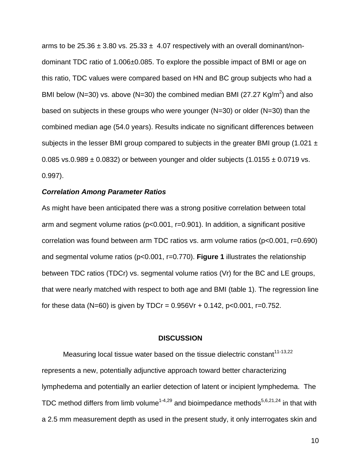arms to be 25.36  $\pm$  3.80 vs. 25.33  $\pm$  4.07 respectively with an overall dominant/nondominant TDC ratio of 1.006±0.085. To explore the possible impact of BMI or age on this ratio, TDC values were compared based on HN and BC group subjects who had a BMI below (N=30) vs. above (N=30) the combined median BMI (27.27 Kg/m<sup>2</sup>) and also based on subjects in these groups who were younger ( $N=30$ ) or older ( $N=30$ ) than the combined median age (54.0 years). Results indicate no significant differences between subjects in the lesser BMI group compared to subjects in the greater BMI group (1.021  $\pm$ 0.085 vs.0.989  $\pm$  0.0832) or between younger and older subjects (1.0155  $\pm$  0.0719 vs. 0.997).

# *Correlation Among Parameter Ratios*

As might have been anticipated there was a strong positive correlation between total arm and segment volume ratios (p<0.001, r=0.901). In addition, a significant positive correlation was found between arm TDC ratios vs. arm volume ratios (p<0.001, r=0.690) and segmental volume ratios (p<0.001, r=0.770). **Figure 1** illustrates the relationship between TDC ratios (TDCr) vs. segmental volume ratios (Vr) for the BC and LE groups, that were nearly matched with respect to both age and BMI (table 1). The regression line for these data (N=60) is given by TDCr =  $0.956Vr + 0.142$ , p<0.001, r=0.752.

#### **DISCUSSION**

Measuring local tissue water based on the tissue dielectric constant<sup>11-13,22</sup> represents a new, potentially adjunctive approach toward better characterizing lymphedema and potentially an earlier detection of latent or incipient lymphedema. The TDC method differs from limb volume<sup>1-4,29</sup> and bioimpedance methods<sup>5,6,21,24</sup> in that with a 2.5 mm measurement depth as used in the present study, it only interrogates skin and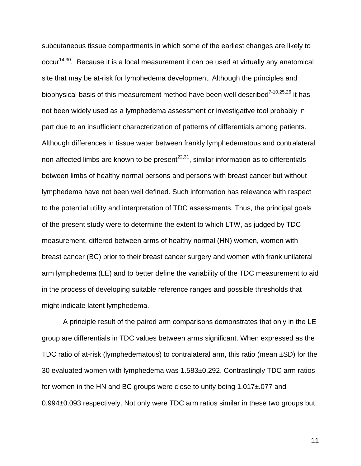subcutaneous tissue compartments in which some of the earliest changes are likely to occur<sup>14,30</sup>. Because it is a local measurement it can be used at virtually any anatomical site that may be at-risk for lymphedema development. Although the principles and biophysical basis of this measurement method have been well described<sup>7-10,25,26</sup> it has not been widely used as a lymphedema assessment or investigative tool probably in part due to an insufficient characterization of patterns of differentials among patients. Although differences in tissue water between frankly lymphedematous and contralateral non-affected limbs are known to be present<sup>22,31</sup>, similar information as to differentials between limbs of healthy normal persons and persons with breast cancer but without lymphedema have not been well defined. Such information has relevance with respect to the potential utility and interpretation of TDC assessments. Thus, the principal goals of the present study were to determine the extent to which LTW, as judged by TDC measurement, differed between arms of healthy normal (HN) women, women with breast cancer (BC) prior to their breast cancer surgery and women with frank unilateral arm lymphedema (LE) and to better define the variability of the TDC measurement to aid in the process of developing suitable reference ranges and possible thresholds that might indicate latent lymphedema.

 A principle result of the paired arm comparisons demonstrates that only in the LE group are differentials in TDC values between arms significant. When expressed as the TDC ratio of at-risk (lymphedematous) to contralateral arm, this ratio (mean  $\pm$ SD) for the 30 evaluated women with lymphedema was 1.583±0.292. Contrastingly TDC arm ratios for women in the HN and BC groups were close to unity being 1.017±.077 and 0.994±0.093 respectively. Not only were TDC arm ratios similar in these two groups but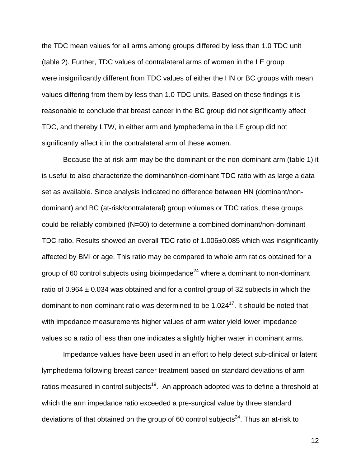the TDC mean values for all arms among groups differed by less than 1.0 TDC unit (table 2). Further, TDC values of contralateral arms of women in the LE group were insignificantly different from TDC values of either the HN or BC groups with mean values differing from them by less than 1.0 TDC units. Based on these findings it is reasonable to conclude that breast cancer in the BC group did not significantly affect TDC, and thereby LTW, in either arm and lymphedema in the LE group did not significantly affect it in the contralateral arm of these women.

 Because the at-risk arm may be the dominant or the non-dominant arm (table 1) it is useful to also characterize the dominant/non-dominant TDC ratio with as large a data set as available. Since analysis indicated no difference between HN (dominant/nondominant) and BC (at-risk/contralateral) group volumes or TDC ratios, these groups could be reliably combined (N=60) to determine a combined dominant/non-dominant TDC ratio. Results showed an overall TDC ratio of 1.006±0.085 which was insignificantly affected by BMI or age. This ratio may be compared to whole arm ratios obtained for a group of 60 control subjects using bioimpedance<sup>24</sup> where a dominant to non-dominant ratio of 0.964  $\pm$  0.034 was obtained and for a control group of 32 subjects in which the dominant to non-dominant ratio was determined to be  $1.024<sup>17</sup>$ . It should be noted that with impedance measurements higher values of arm water yield lower impedance values so a ratio of less than one indicates a slightly higher water in dominant arms.

Impedance values have been used in an effort to help detect sub-clinical or latent lymphedema following breast cancer treatment based on standard deviations of arm ratios measured in control subjects<sup>19</sup>. An approach adopted was to define a threshold at which the arm impedance ratio exceeded a pre-surgical value by three standard deviations of that obtained on the group of 60 control subjects<sup>24</sup>. Thus an at-risk to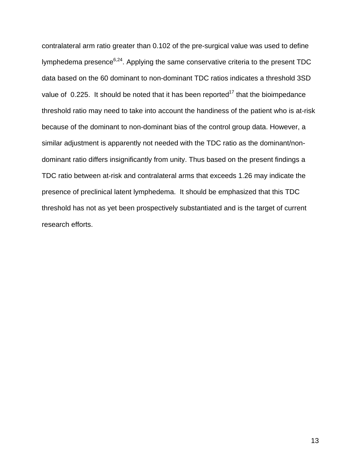contralateral arm ratio greater than 0.102 of the pre-surgical value was used to define lymphedema presence $6,24$ . Applying the same conservative criteria to the present TDC data based on the 60 dominant to non-dominant TDC ratios indicates a threshold 3SD value of 0.225. It should be noted that it has been reported<sup>17</sup> that the bioimpedance threshold ratio may need to take into account the handiness of the patient who is at-risk because of the dominant to non-dominant bias of the control group data. However, a similar adjustment is apparently not needed with the TDC ratio as the dominant/nondominant ratio differs insignificantly from unity. Thus based on the present findings a TDC ratio between at-risk and contralateral arms that exceeds 1.26 may indicate the presence of preclinical latent lymphedema. It should be emphasized that this TDC threshold has not as yet been prospectively substantiated and is the target of current research efforts.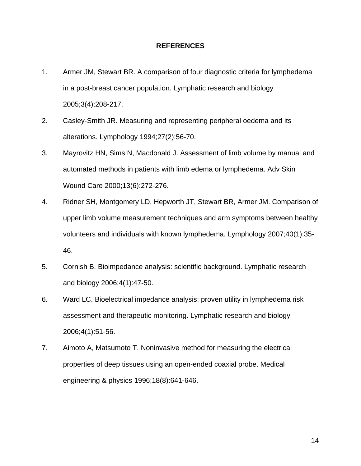# **REFERENCES**

- 1. Armer JM, Stewart BR. A comparison of four diagnostic criteria for lymphedema in a post-breast cancer population. Lymphatic research and biology 2005;3(4):208-217.
- 2. Casley-Smith JR. Measuring and representing peripheral oedema and its alterations. Lymphology 1994;27(2):56-70.
- 3. Mayrovitz HN, Sims N, Macdonald J. Assessment of limb volume by manual and automated methods in patients with limb edema or lymphedema. Adv Skin Wound Care 2000;13(6):272-276.
- 4. Ridner SH, Montgomery LD, Hepworth JT, Stewart BR, Armer JM. Comparison of upper limb volume measurement techniques and arm symptoms between healthy volunteers and individuals with known lymphedema. Lymphology 2007;40(1):35- 46.
- 5. Cornish B. Bioimpedance analysis: scientific background. Lymphatic research and biology 2006;4(1):47-50.
- 6. Ward LC. Bioelectrical impedance analysis: proven utility in lymphedema risk assessment and therapeutic monitoring. Lymphatic research and biology 2006;4(1):51-56.
- 7. Aimoto A, Matsumoto T. Noninvasive method for measuring the electrical properties of deep tissues using an open-ended coaxial probe. Medical engineering & physics 1996;18(8):641-646.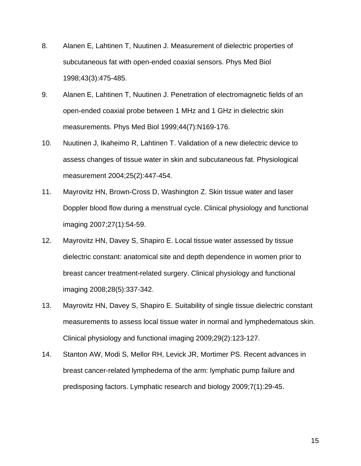- 8. Alanen E, Lahtinen T, Nuutinen J. Measurement of dielectric properties of subcutaneous fat with open-ended coaxial sensors. Phys Med Biol 1998;43(3):475-485.
- 9. Alanen E, Lahtinen T, Nuutinen J. Penetration of electromagnetic fields of an open-ended coaxial probe between 1 MHz and 1 GHz in dielectric skin measurements. Phys Med Biol 1999;44(7):N169-176.
- 10. Nuutinen J, Ikaheimo R, Lahtinen T. Validation of a new dielectric device to assess changes of tissue water in skin and subcutaneous fat. Physiological measurement 2004;25(2):447-454.
- 11. Mayrovitz HN, Brown-Cross D, Washington Z. Skin tissue water and laser Doppler blood flow during a menstrual cycle. Clinical physiology and functional imaging 2007;27(1):54-59.
- 12. Mayrovitz HN, Davey S, Shapiro E. Local tissue water assessed by tissue dielectric constant: anatomical site and depth dependence in women prior to breast cancer treatment-related surgery. Clinical physiology and functional imaging 2008;28(5):337-342.
- 13. Mayrovitz HN, Davey S, Shapiro E. Suitability of single tissue dielectric constant measurements to assess local tissue water in normal and lymphedematous skin. Clinical physiology and functional imaging 2009;29(2):123-127.
- 14. Stanton AW, Modi S, Mellor RH, Levick JR, Mortimer PS. Recent advances in breast cancer-related lymphedema of the arm: lymphatic pump failure and predisposing factors. Lymphatic research and biology 2009;7(1):29-45.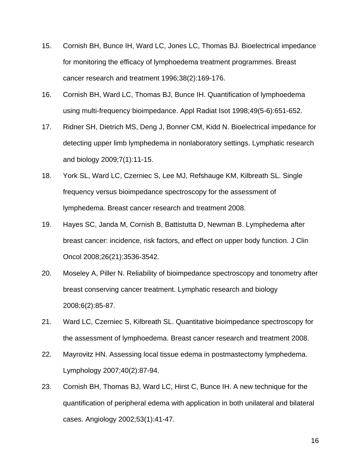- 15. Cornish BH, Bunce IH, Ward LC, Jones LC, Thomas BJ. Bioelectrical impedance for monitoring the efficacy of lymphoedema treatment programmes. Breast cancer research and treatment 1996;38(2):169-176.
- 16. Cornish BH, Ward LC, Thomas BJ, Bunce IH. Quantification of lymphoedema using multi-frequency bioimpedance. Appl Radiat Isot 1998;49(5-6):651-652.
- 17. Ridner SH, Dietrich MS, Deng J, Bonner CM, Kidd N. Bioelectrical impedance for detecting upper limb lymphedema in nonlaboratory settings. Lymphatic research and biology 2009;7(1):11-15.
- 18. York SL, Ward LC, Czerniec S, Lee MJ, Refshauge KM, Kilbreath SL. Single frequency versus bioimpedance spectroscopy for the assessment of lymphedema. Breast cancer research and treatment 2008.
- 19. Hayes SC, Janda M, Cornish B, Battistutta D, Newman B. Lymphedema after breast cancer: incidence, risk factors, and effect on upper body function. J Clin Oncol 2008;26(21):3536-3542.
- 20. Moseley A, Piller N. Reliability of bioimpedance spectroscopy and tonometry after breast conserving cancer treatment. Lymphatic research and biology 2008;6(2):85-87.
- 21. Ward LC, Czerniec S, Kilbreath SL. Quantitative bioimpedance spectroscopy for the assessment of lymphoedema. Breast cancer research and treatment 2008.
- 22. Mayrovitz HN. Assessing local tissue edema in postmastectomy lymphedema. Lymphology 2007;40(2):87-94.
- 23. Cornish BH, Thomas BJ, Ward LC, Hirst C, Bunce IH. A new technique for the quantification of peripheral edema with application in both unilateral and bilateral cases. Angiology 2002;53(1):41-47.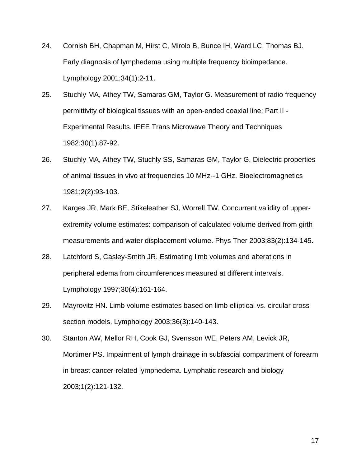- 24. Cornish BH, Chapman M, Hirst C, Mirolo B, Bunce IH, Ward LC, Thomas BJ. Early diagnosis of lymphedema using multiple frequency bioimpedance. Lymphology 2001;34(1):2-11.
- 25. Stuchly MA, Athey TW, Samaras GM, Taylor G. Measurement of radio frequency permittivity of biological tissues with an open-ended coaxial line: Part II - Experimental Results. IEEE Trans Microwave Theory and Techniques 1982;30(1):87-92.
- 26. Stuchly MA, Athey TW, Stuchly SS, Samaras GM, Taylor G. Dielectric properties of animal tissues in vivo at frequencies 10 MHz--1 GHz. Bioelectromagnetics 1981;2(2):93-103.
- 27. Karges JR, Mark BE, Stikeleather SJ, Worrell TW. Concurrent validity of upperextremity volume estimates: comparison of calculated volume derived from girth measurements and water displacement volume. Phys Ther 2003;83(2):134-145.
- 28. Latchford S, Casley-Smith JR. Estimating limb volumes and alterations in peripheral edema from circumferences measured at different intervals. Lymphology 1997;30(4):161-164.
- 29. Mayrovitz HN. Limb volume estimates based on limb elliptical vs. circular cross section models. Lymphology 2003;36(3):140-143.
- 30. Stanton AW, Mellor RH, Cook GJ, Svensson WE, Peters AM, Levick JR, Mortimer PS. Impairment of lymph drainage in subfascial compartment of forearm in breast cancer-related lymphedema. Lymphatic research and biology 2003;1(2):121-132.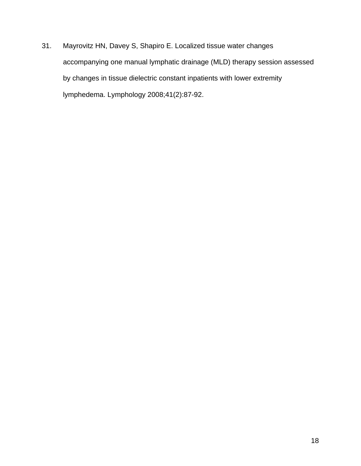31. Mayrovitz HN, Davey S, Shapiro E. Localized tissue water changes accompanying one manual lymphatic drainage (MLD) therapy session assessed by changes in tissue dielectric constant inpatients with lower extremity lymphedema. Lymphology 2008;41(2):87-92.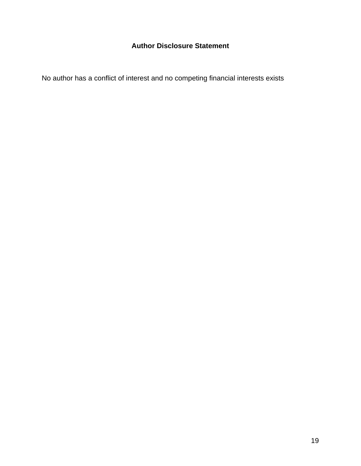# **Author Disclosure Statement**

No author has a conflict of interest and no competing financial interests exists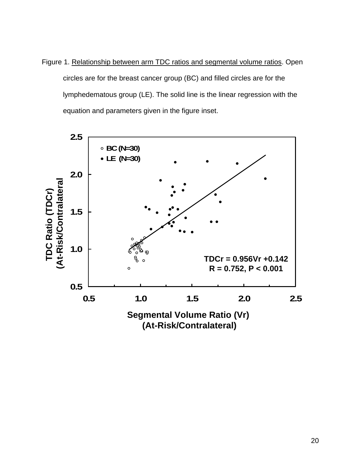Figure 1. Relationship between arm TDC ratios and segmental volume ratios. Open circles are for the breast cancer group (BC) and filled circles are for the lymphedematous group (LE). The solid line is the linear regression with the equation and parameters given in the figure inset.

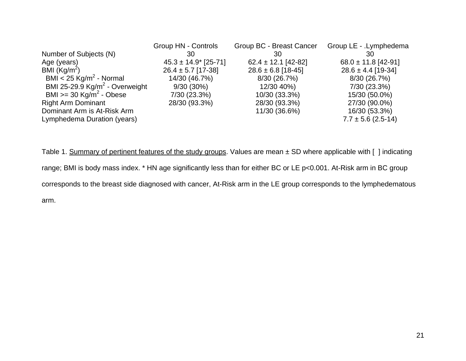|                                          | <b>Group HN - Controls</b> | Group BC - Breast Cancer | Group LE - .Lymphedema  |
|------------------------------------------|----------------------------|--------------------------|-------------------------|
| Number of Subjects (N)                   | 30                         | 30                       | 30                      |
| Age (years)                              | $45.3 \pm 14.9$ [25-71]    | $62.4 \pm 12.1$ [42-82]  | $68.0 \pm 11.8$ [42-91] |
| BMI $(Kg/m^2)$                           | $26.4 \pm 5.7$ [17-38]     | $28.6 \pm 6.8$ [18-45]   | $28.6 \pm 4.4$ [19-34]  |
| BMI < 25 $\text{Kg/m}^2$ - Normal        | 14/30 (46.7%)              | 8/30(26.7%)              | 8/30 (26.7%)            |
| BMI 25-29.9 $\text{Kg/m}^2$ - Overweight | $9/30(30\%)$               | 12/30 40%)               | 7/30 (23.3%)            |
| BMI $>=$ 30 Kg/m <sup>2</sup> - Obese    | 7/30 (23.3%)               | 10/30 (33.3%)            | 15/30 (50.0%)           |
| <b>Right Arm Dominant</b>                | 28/30 (93.3%)              | 28/30 (93.3%)            | 27/30 (90.0%)           |
| Dominant Arm is At-Risk Arm              |                            | 11/30 (36.6%)            | 16/30 (53.3%)           |
| Lymphedema Duration (years)              |                            |                          | $7.7 \pm 5.6$ (2.5-14)  |

Table 1. Summary of pertinent features of the study groups. Values are mean ± SD where applicable with [ ] indicating range; BMI is body mass index. \* HN age significantly less than for either BC or LE p<0.001. At-Risk arm in BC group corresponds to the breast side diagnosed with cancer, At-Risk arm in the LE group corresponds to the lymphedematous arm.